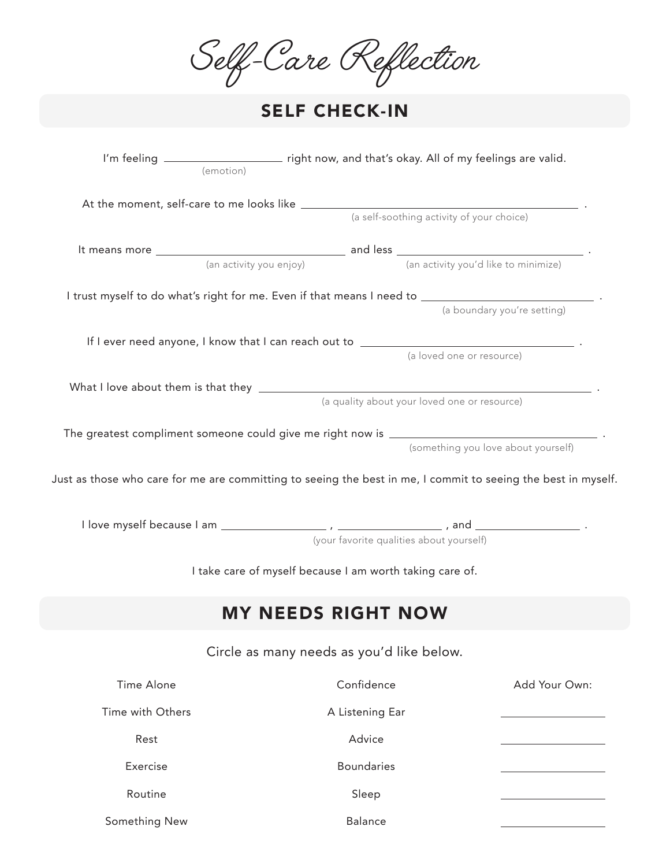|                                                                                                               |                                           | ilf-Care Reflection                                      |                                     |  |
|---------------------------------------------------------------------------------------------------------------|-------------------------------------------|----------------------------------------------------------|-------------------------------------|--|
| <b>SELF CHECK-IN</b>                                                                                          |                                           |                                                          |                                     |  |
|                                                                                                               |                                           |                                                          |                                     |  |
|                                                                                                               |                                           |                                                          |                                     |  |
|                                                                                                               |                                           | (a self-soothing activity of your choice)                |                                     |  |
|                                                                                                               |                                           |                                                          |                                     |  |
|                                                                                                               | (an activity you enjoy)                   | (an activity you'd like to minimize)                     |                                     |  |
|                                                                                                               |                                           |                                                          |                                     |  |
|                                                                                                               |                                           |                                                          | (a boundary you're setting)         |  |
|                                                                                                               |                                           |                                                          |                                     |  |
|                                                                                                               |                                           | (a loved one or resource)                                |                                     |  |
|                                                                                                               |                                           |                                                          |                                     |  |
|                                                                                                               |                                           | (a quality about your loved one or resource)             |                                     |  |
|                                                                                                               |                                           |                                                          |                                     |  |
|                                                                                                               |                                           |                                                          | (something you love about yourself) |  |
|                                                                                                               |                                           |                                                          |                                     |  |
| Just as those who care for me are committing to seeing the best in me, I commit to seeing the best in myself. |                                           |                                                          |                                     |  |
|                                                                                                               |                                           |                                                          |                                     |  |
|                                                                                                               |                                           | (your favorite qualities about yourself)                 |                                     |  |
|                                                                                                               |                                           |                                                          |                                     |  |
|                                                                                                               |                                           | I take care of myself because I am worth taking care of. |                                     |  |
|                                                                                                               |                                           |                                                          |                                     |  |
|                                                                                                               | <b>MY NEEDS RIGHT NOW</b>                 |                                                          |                                     |  |
|                                                                                                               | Circle as many needs as you'd like below. |                                                          |                                     |  |
| Time Alone                                                                                                    |                                           | Confidence                                               | Add Your Own:                       |  |
| Time with Others                                                                                              |                                           | A Listening Ear                                          |                                     |  |

Advice

Balance

Boundaries

Sleep

Something New

Rest

Exercise

Routine